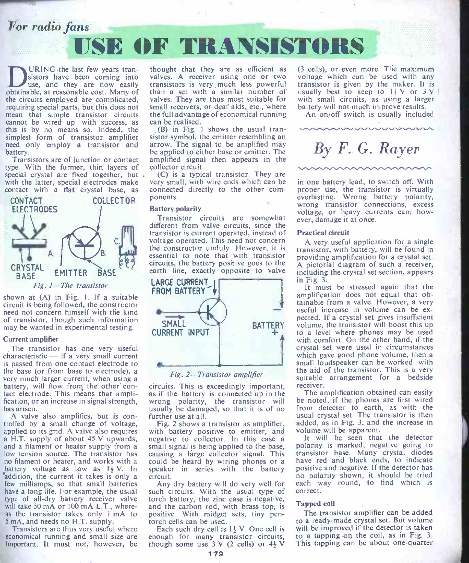## For radio fans



obtainable, at reasonable cost. Many of the circuits employed are complicated, requiring special parts, but this does not mean that simple transistor circuits cannot be wired up with success, as this is by no means so. Indeed, the simplest form of transistor amplifier

Transistors are of junction or contact amplified signal then appears in the type. With the former, thin layers of collector circuit.<br>Special crystal are fixed together, but  $\sim$  Cy is a typical transistor. They are contac



shown at (A) in Fig. 1. If a suitable circuit is being followed, the constructor need not concern himself with the kind may be wanted in experimental testing.

### Current amplifier

The transistor has one very useful characteristic  $-$  if a very small current is passed from one contact electrode to the base (or from base to electrode), a<br>very much larger current, when using a battery, will flow from the other con- circuits. This is exceedingly important, tact electrode. This means that amplification, or an increase in signal strength, has arisen.

A valve also amplifies, but is con-<br>trolled by a small change of voltage, trolled by a small change of voltage, Fig. 2 shows a transistor as amplifier, applied to its grid. A valve also requires with battery positive to emitter, and a H.T. supply of about 45 V upwards, negative to collector. In no filament or heater, and works with a battery voltage as low as  $1\frac{1}{2}V$ . In addition, the current it takes is only a circuit.<br>
few milliamps, so that small batteries Any dry battery will do very well for as the transistor takes only 1 mA to 5 mA, and needs no H.T. supply.<br>Transistors are thus very useful where

important. It must not, however, be

URING the last few years tran-<br>sistors have been coming into valves. A receiver using one or two use, and they are now easily transistors is very much less powerful<br>able at reasonable cost. Many of than a set with a similar number of valves. A receiver using one or two transistors is very much less powerful valves. They are thus most suitable for with small circuits, as using a largent valley will receivers, or deaf aids, etc., where battery will not much improve results. small receivers, or deaf aids, etc., where battery will not much improve results.<br>the full advantage of economical running An on/off switch is usually included the full advantage of economical running can be realised.

need only employ a transistor and arrow. The signal to be amplified may battery.<br>be applied to either base or emitter. The (B) in Fig. <sup>I</sup> shows the usual transistor symbol, the emitter resembling an arrow. The signal to be amplified may amplified signal then appears in the collector circuit.

> very small, with wire ends which can be connected directly to the other com-<br>
> everlasting. Wrong battery polarity,<br>
> proper use, the transistor is virtually<br>
> ponents. ponents.

### Battery polarity

different from valve circuits, since the transistor is current operated, instead of voltage operated. This need not concern the constructor unduly. However, it is essential to note that with transistor circuits, the battery positive goes to the  $A$  pictorial diagram of such a receiver, earth line, exactly opposite to valve



### Fig. 2-Transistor amplifier

as if the battery is connected up in the The amplification obtained can easily wrong polarity, the transistor will usually be damaged, so that it is of no further use at all.

low tension source. The transistor has causing a large collector signal. This no filament or heater, and works with a could be heard by wiring phones or a with battery positive to emitter, and negative to collector. In this case a causing a large collector signal. This transistor base. Many crystal diodes speaker in series with the battery positive and negative. If the detector has<br>circuit circuit.

have a long life. For example, the usual such circuits. With the usual type of type of all dry battery receiver valve to the attery, the zinc case is negative, will take 50 mA or 100 mA  $\Lambda$ . T., where- and the carbon rela such circuits. With the usual type of and the carbon rod, with brass top, is **apped complished and the carbon rod, with midget sets, tiny pen-** The transistor amplifier can be added torch cells can be used. torch cells can be used.

Transistors are thus very useful where Each such dry cell is  $1\frac{1}{2}$  V. One cell is economical running and small size are enough for many transistor circuits, Each such dry cell is  $1\frac{1}{2}$  V. One cell is will be improve nough for many transistor circuits, to a tapping though some use 3 V (2 cells) or  $4\frac{1}{2}$  V This tapping

(3 cells), or even more. The maximum voltage which can be used with any transistor is given by the maker. It is usually best to keep to  $1\frac{1}{2}V$  or  $3V$ with small circuits, as using a larger

# By F. G. Rayer

ittery polarity<br>Transistor circuits are somewhat ever damage it at once. proper use, the transistor is virtually wrong transistor connections, excess

#### Practical circuit

A very useful application for a single transistor, with battery, will be found in providing amplification for a crystal set. including the crystal set section, appears in Fig. 3.

**BATTERY** volume, the transistor will boost this up<br> $\uparrow$  to a level where phones may be used It must be stressed again that the amplification does not equal that obtainable from a valve. However, a very useful increase in volume can be exvolume, the transistor will boost this up with comfort. On the other hand, if the crystal set were used in circumstances which gave good phone volume, then a small loudspeaker can be worked with the aid of the transistor. This is a very suitable arrangement for a bedside receiver.

> be noted, if the phones are first wired from detector to earth, as with the usual crystal set. The transistor is then added, as in Fig. 3, and the increase in volume will be apparent.

> It will be seen that the detector polarity is marked, negative going to have red and black ends, to indicate positive and negative. If the detector has each way round, to find which is correct.

### Tapped coil

The transistor amplifier can be added will be improved if the detector is taken<br>to a tapping on the coil, as in Fig. 3. This tapping can be about one-quarter